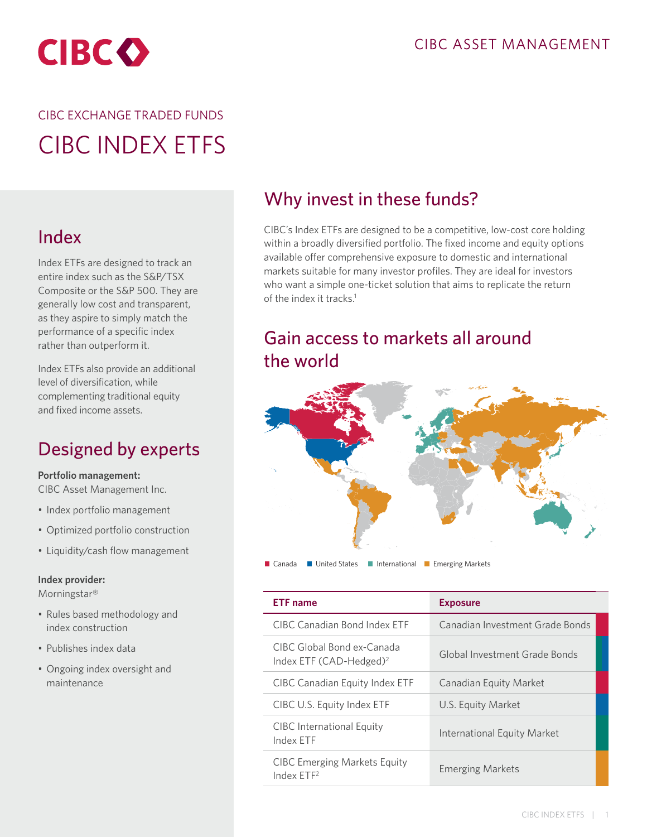

# CIBC EXCHANGE TRADED FUNDS CIBC INDEX ETFS

## Index

Index ETFs are designed to track an entire index such as the S&P/TSX Composite or the S&P 500. They are generally low cost and transparent, as they aspire to simply match the performance of a specific index rather than outperform it.

Index ETFs also provide an additional level of diversification, while complementing traditional equity and fixed income assets.

## Designed by experts

**Portfolio management:**

CIBC Asset Management Inc.

- Index portfolio management
- Optimized portfolio construction
- Liquidity/cash flow management

#### **Index provider:**

Morningstar®

- Rules based methodology and index construction
- Publishes index data
- Ongoing index oversight and maintenance

### Why invest in these funds?

CIBC's Index ETFs are designed to be a competitive, low-cost core holding within a broadly diversified portfolio. The fixed income and equity options available offer comprehensive exposure to domestic and international markets suitable for many investor profiles. They are ideal for investors who want a simple one-ticket solution that aims to replicate the return of the index it tracks.<sup>1</sup>

### Gain access to markets all around the world



■ Canada ■ United States ■ International ■ Emerging Markets

| <b>ETF</b> name                                               | <b>Exposure</b>                    |  |
|---------------------------------------------------------------|------------------------------------|--|
| CIBC Canadian Bond Index FTF                                  | Canadian Investment Grade Bonds    |  |
| CIBC Global Bond ex-Canada<br>Index ETF $(CAD-Hedged)^2$      | Global Investment Grade Bonds      |  |
| CIBC Canadian Equity Index ETF                                | Canadian Equity Market             |  |
| CIBC U.S. Equity Index ETF                                    | U.S. Equity Market                 |  |
| CIBC International Equity<br>Index FTF                        | <b>International Equity Market</b> |  |
| <b>CIBC Emerging Markets Equity</b><br>Index ETF <sup>2</sup> | <b>Emerging Markets</b>            |  |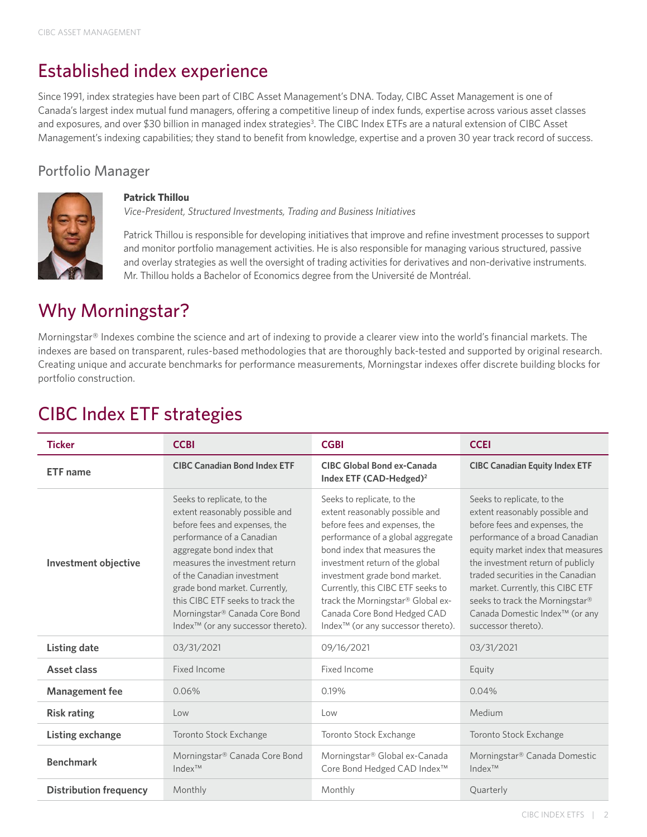## Established index experience

Since 1991, index strategies have been part of CIBC Asset Management's DNA. Today, CIBC Asset Management is one of Canada's largest index mutual fund managers, offering a competitive lineup of index funds, expertise across various asset classes and exposures, and over \$30 billion in managed index strategies<sup>3</sup>. The CIBC Index ETFs are a natural extension of CIBC Asset Management's indexing capabilities; they stand to benefit from knowledge, expertise and a proven 30 year track record of success.

### Portfolio Manager



#### **Patrick Thillou**

*Vice-President, Structured Investments, Trading and Business Initiatives*

Patrick Thillou is responsible for developing initiatives that improve and refine investment processes to support and monitor portfolio management activities. He is also responsible for managing various structured, passive and overlay strategies as well the oversight of trading activities for derivatives and non-derivative instruments. Mr. Thillou holds a Bachelor of Economics degree from the Université de Montréal.

### Why Morningstar?

Morningstar® Indexes combine the science and art of indexing to provide a clearer view into the world's financial markets. The indexes are based on transparent, rules-based methodologies that are thoroughly back-tested and supported by original research. Creating unique and accurate benchmarks for performance measurements, Morningstar indexes offer discrete building blocks for portfolio construction.

# CIBC Index ETF strategies

| <b>Ticker</b>                 | <b>CCBI</b>                                                                                                                                                                                                                                                                                                                                                                     | <b>CGBI</b>                                                                                                                                                                                                                                                                                                                                                                                       | <b>CCEI</b>                                                                                                                                                                                                                                                                                                                                                                                 |
|-------------------------------|---------------------------------------------------------------------------------------------------------------------------------------------------------------------------------------------------------------------------------------------------------------------------------------------------------------------------------------------------------------------------------|---------------------------------------------------------------------------------------------------------------------------------------------------------------------------------------------------------------------------------------------------------------------------------------------------------------------------------------------------------------------------------------------------|---------------------------------------------------------------------------------------------------------------------------------------------------------------------------------------------------------------------------------------------------------------------------------------------------------------------------------------------------------------------------------------------|
| <b>ETF</b> name               | <b>CIBC Canadian Bond Index ETF</b>                                                                                                                                                                                                                                                                                                                                             | <b>CIBC Global Bond ex-Canada</b><br>Index ETF (CAD-Hedged) <sup>2</sup>                                                                                                                                                                                                                                                                                                                          | <b>CIBC Canadian Equity Index ETF</b>                                                                                                                                                                                                                                                                                                                                                       |
| <b>Investment objective</b>   | Seeks to replicate, to the<br>extent reasonably possible and<br>before fees and expenses, the<br>performance of a Canadian<br>aggregate bond index that<br>measures the investment return<br>of the Canadian investment<br>grade bond market. Currently,<br>this CIBC ETF seeks to track the<br>Morningstar® Canada Core Bond<br>Index <sup>™</sup> (or any successor thereto). | Seeks to replicate, to the<br>extent reasonably possible and<br>before fees and expenses, the<br>performance of a global aggregate<br>bond index that measures the<br>investment return of the global<br>investment grade bond market.<br>Currently, this CIBC ETF seeks to<br>track the Morningstar® Global ex-<br>Canada Core Bond Hedged CAD<br>Index <sup>™</sup> (or any successor thereto). | Seeks to replicate, to the<br>extent reasonably possible and<br>before fees and expenses, the<br>performance of a broad Canadian<br>equity market index that measures<br>the investment return of publicly<br>traded securities in the Canadian<br>market. Currently, this CIBC ETF<br>seeks to track the Morningstar®<br>Canada Domestic Index <sup>™</sup> (or any<br>successor thereto). |
| <b>Listing date</b>           | 03/31/2021                                                                                                                                                                                                                                                                                                                                                                      | 09/16/2021                                                                                                                                                                                                                                                                                                                                                                                        | 03/31/2021                                                                                                                                                                                                                                                                                                                                                                                  |
| Asset class                   | Fixed Income                                                                                                                                                                                                                                                                                                                                                                    | Fixed Income                                                                                                                                                                                                                                                                                                                                                                                      | Equity                                                                                                                                                                                                                                                                                                                                                                                      |
| <b>Management fee</b>         | 0.06%                                                                                                                                                                                                                                                                                                                                                                           | 0.19%                                                                                                                                                                                                                                                                                                                                                                                             | 0.04%                                                                                                                                                                                                                                                                                                                                                                                       |
| <b>Risk rating</b>            | Low                                                                                                                                                                                                                                                                                                                                                                             | Low                                                                                                                                                                                                                                                                                                                                                                                               | Medium                                                                                                                                                                                                                                                                                                                                                                                      |
| Listing exchange              | Toronto Stock Exchange                                                                                                                                                                                                                                                                                                                                                          | Toronto Stock Exchange                                                                                                                                                                                                                                                                                                                                                                            | Toronto Stock Exchange                                                                                                                                                                                                                                                                                                                                                                      |
| <b>Benchmark</b>              | Morningstar® Canada Core Bond<br>$Index^{TM}$                                                                                                                                                                                                                                                                                                                                   | Morningstar® Global ex-Canada<br>Core Bond Hedged CAD Index <sup>™</sup>                                                                                                                                                                                                                                                                                                                          | Morningstar® Canada Domestic<br>$Index^{TM}$                                                                                                                                                                                                                                                                                                                                                |
| <b>Distribution frequency</b> | Monthly                                                                                                                                                                                                                                                                                                                                                                         | Monthly                                                                                                                                                                                                                                                                                                                                                                                           | Quarterly                                                                                                                                                                                                                                                                                                                                                                                   |